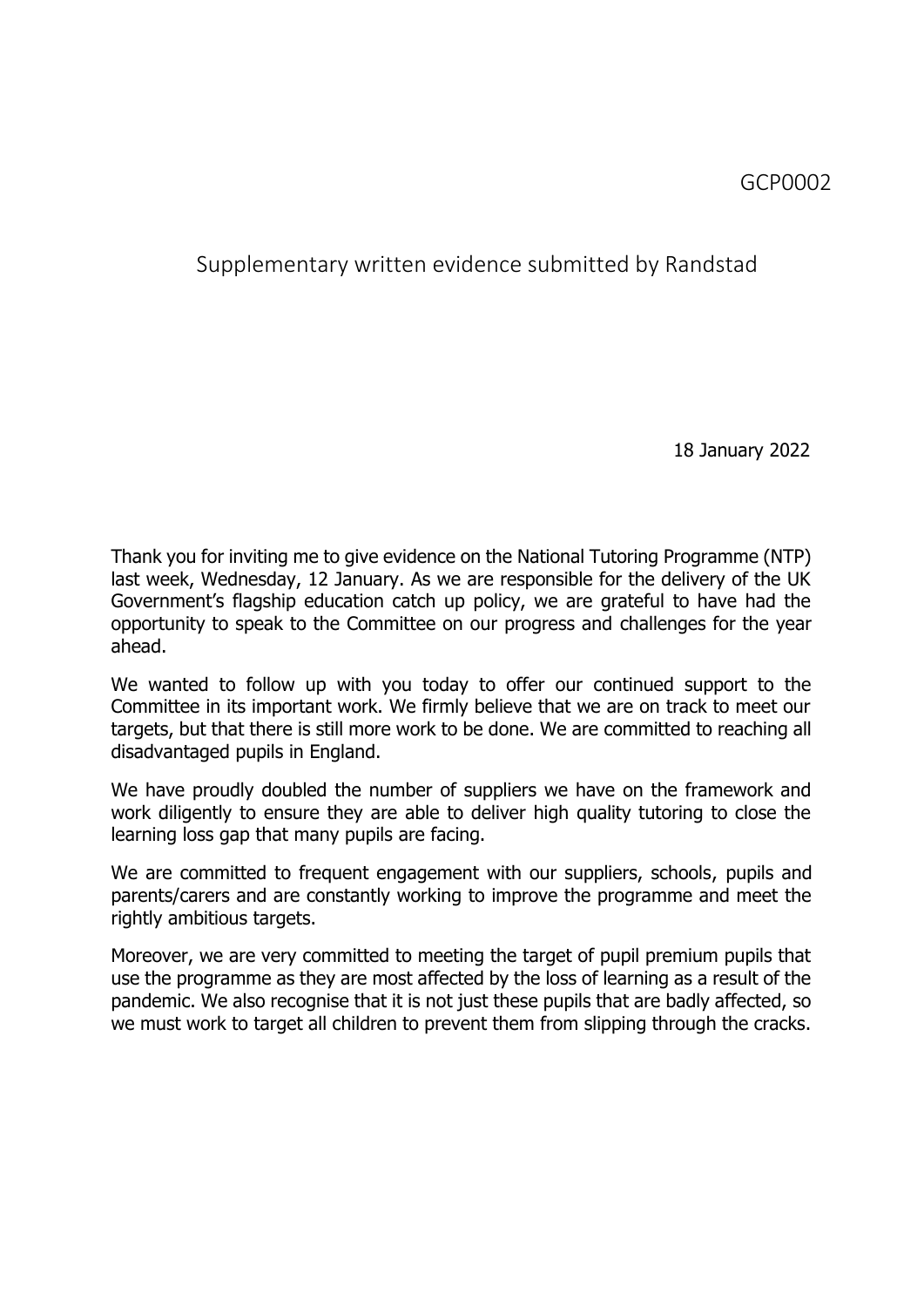## Supplementary written evidence submitted by Randstad

18 January 2022

Thank you for inviting me to give evidence on the National Tutoring Programme (NTP) last week, Wednesday, 12 January. As we are responsible for the delivery of the UK Government's flagship education catch up policy, we are grateful to have had the opportunity to speak to the Committee on our progress and challenges for the year ahead.

We wanted to follow up with you today to offer our continued support to the Committee in its important work. We firmly believe that we are on track to meet our targets, but that there is still more work to be done. We are committed to reaching all disadvantaged pupils in England.

We have proudly doubled the number of suppliers we have on the framework and work diligently to ensure they are able to deliver high quality tutoring to close the learning loss gap that many pupils are facing.

We are committed to frequent engagement with our suppliers, schools, pupils and parents/carers and are constantly working to improve the programme and meet the rightly ambitious targets.

Moreover, we are very committed to meeting the target of pupil premium pupils that use the programme as they are most affected by the loss of learning as a result of the pandemic. We also recognise that it is not just these pupils that are badly affected, so we must work to target all children to prevent them from slipping through the cracks.